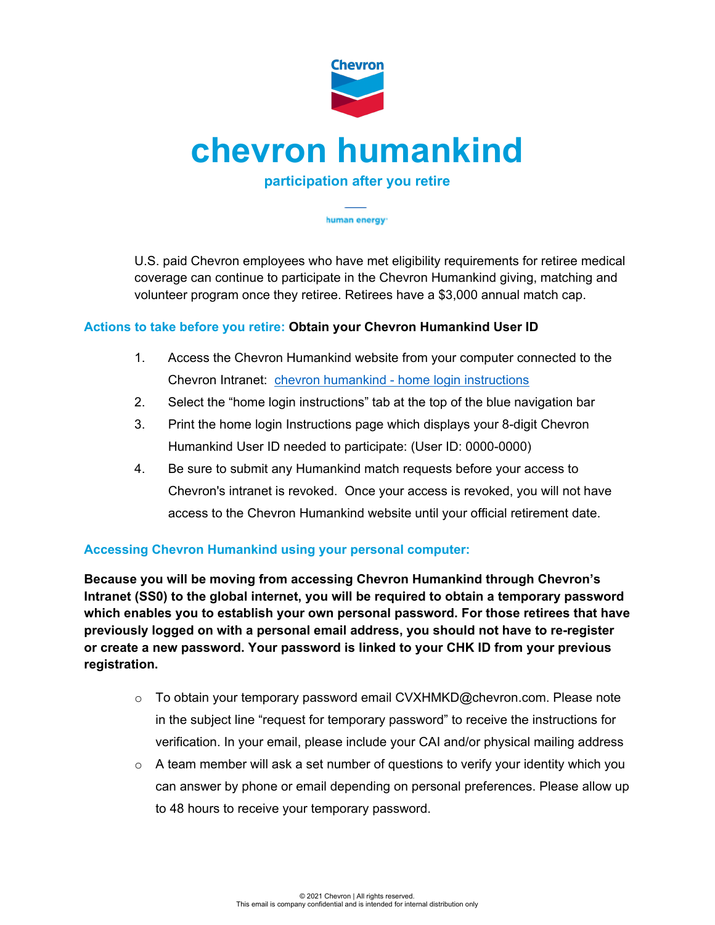

human energy<sup>-</sup>

U.S. paid Chevron employees who have met eligibility requirements for retiree medical coverage can continue to participate in the Chevron Humankind giving, matching and volunteer program once they retiree. Retirees have a \$3,000 annual match cap.

## **Actions to take before you retire: Obtain your Chevron Humankind User ID**

- 1. Access the Chevron Humankind website from your computer connected to the Chevron Intranet: chevron humankind - [home login instructions](https://chevronhumankind.chevron.com/Home/Contacts)
- 2. Select the "home login instructions" tab at the top of the blue navigation bar
- 3. Print the home login Instructions page which displays your 8-digit Chevron Humankind User ID needed to participate: (User ID: 0000-0000)
- 4. Be sure to submit any Humankind match requests before your access to Chevron's intranet is revoked. Once your access is revoked, you will not have access to the Chevron Humankind website until your official retirement date.

## **Accessing Chevron Humankind using your personal computer:**

**Because you will be moving from accessing Chevron Humankind through Chevron's Intranet (SS0) to the global internet, you will be required to obtain a temporary password which enables you to establish your own personal password. For those retirees that have previously logged on with a personal email address, you should not have to re-register or create a new password. Your password is linked to your CHK ID from your previous registration.**

- $\circ$  To obtain your temporary password email CVXHMKD@chevron.com. Please note in the subject line "request for temporary password" to receive the instructions for verification. In your email, please include your CAI and/or physical mailing address
- $\circ$  A team member will ask a set number of questions to verify your identity which you can answer by phone or email depending on personal preferences. Please allow up to 48 hours to receive your temporary password.